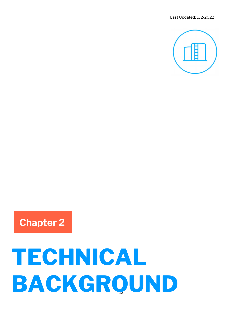Last Updated: 5/2/2022



## Chapter 2

# **BACKGROUND** TECHNICAL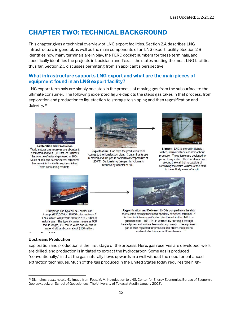### CHAPTER TWO: TECHNICAL BACKGROUND

This chapter gives a technical overview of LNG export facilities. Section 2.A describes LNG infrastructure in general, as well as the main components of an LNG export facility. Section 2.B identifies how many terminals are in play, the FERC docket numbers for these terminals, and specifically identifies the projects in Louisiana and Texas, the states hosting the most LNG facilities thus far. Section 2.C discusses permitting from an applicant's perspective.

#### What infrastructure supports LNG export and what are the main pieces of equipment found in an LNG export facility?

LNG export terminals are simply one step in the process of moving gas from the subsurface to the ultimate consumer. The following excerpted figure depicts the steps gas takes in that process, from exploration and production to liquefaction to storage to shipping and then regasification and delivery:<sup>36</sup>



**Exploration and Production** World natural gas reserves are abundant, estimated at about 6,000 tcf, or 60 times the volume of natural gas used in 2004. Much of this gas is considered "stranded" because it is located in regions distant from consuming markets.



Liquefaction: Gas from the production field comes to the liquefaction plant. Contaminants are removed and the gas is cooled to a temperature of -256°F. By liquefying the gas, its volume is reduced by a factor of 600.



Storage: LNG is stored in doublewalled insulated tanks at atmospheric pressure. These tanks are designed to prevent any leaks. There is also a dike around the wall that is capable of containing the entire volume of the tank in the unlikely event of a spill.



Shipping: The typical LNG carrier can transport125,000 to 138,000 cubic meters of LNG, which will provide about 2.6 to 2.8 bcf of natural gas. The typical carrier measures 900 feet in length, 140 feet in width and 36 feet in water draft, and costs about \$160 million.



Regasification and Delivery: LNG is pumped from the ship to insulated storage tanks at a specially designed terminal. It is then fed into a regasification plant to return the LNG to a gaseous state. The LNG is warmed by passing it through heated pipes and various terminal components. The vaporized gas is then regulated for pressure and enters the pipeline system to be transported to end users.

#### Upstream: Production

Exploration and production is the first stage of the process. Here, gas reserves are developed, wells are drilled, and production is initiated to extract the hydrocarbon. Some gas is produced "conventionally," in that the gas naturally flows upwards in a well without the need for enhanced extraction techniques. Much of the gas produced in the United States today requires the high-

<sup>&</sup>lt;sup>36</sup> Dismukes, supra note 1, 41 (image from Foss, M. M. Introduction to LNG. Center for Energy Economics, Bureau of Economic Geology, Jackson School of Geosciences, The University of Texas at Austin. January 2003).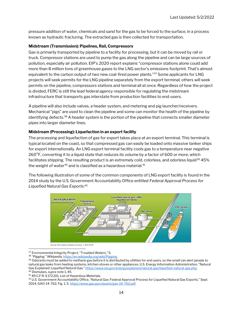pressure addition of water, chemicals and sand for the gas to be forced to the surface, in a process known as hydraulic fracturing. The extracted gas is then collected for transportation.

#### Midstream (Transmission): Pipelines, Rail, Compressors

Gas is primarily transported by pipeline to a facility for processing, but it can be moved by rail or truck. Compressor stations are used to pump the gas along the pipeline and can be large sources of pollution, especially air pollution. EIP's 2020 report explains "compressor stations alone could add more than 8 million tons of greenhouse gases to the LNG sector's emissions footprint. That's almost equivalent to the carbon output of two new coal-fired power plants."<sup>37</sup> Some applicants for LNG projects will seek permits for the LNG pipeline separately from the export terminal; others will seek permits on the pipeline, compressors stations and terminal all at once. Regardless of how the project is divided, FERC is still the lead federal agency responsible for regulating the midstream infrastructure that transports gas interstate from production facilities to end-users.

A pipeline will also include valves, a header system, and metering and pig launcher/receivers. Mechanical "pigs" are used to clean the pipeline and some can monitor the health of the pipeline by identifying defects.<sup>38</sup> A header system is the portion of the pipeline that connects smaller diameter pipes into larger diameter lines.

#### Midstream (Processing): Liquefaction in an export facility

The processing and liquefaction of gas for export takes place at an export terminal. This terminal is typical located on the coast, so that compressed gas can easily be loaded onto massive tanker ships for export internationally. An LNG export terminal facility cools gas to a temperature near negative 260°F, converting it to a liquid state that reduces its volume by a factor of 600 or more, which facilitates shipping. The resulting product is an extremely cold, colorless, and odorless liquid<sup>39</sup> 45% the weight of water $\rm ^{40}$  and is classified as a hazardous material. $\rm ^{41}$ 

The following illustration of some of the common components of LNG export facility is found in the 2014 study by the U.S. Government Accountability Office entitled Federal Approval Process for Liquefied Natural Gas Exports: 42



Sources: GAO analysis of industry documents. | GAO-14-762

<sup>37</sup> Environmental Integrity Project, "Troubled Waters," 5.

<sup>38</sup> "Pigging," Wikipedia, https://en.wikipedia.org/wiki/Pigging.

<sup>&</sup>lt;sup>39</sup> Odorants must be added to methane gas before it is distributed by utilities for end users, so the smell can alert people to natural gas leaks from heating systems, kitchen stoves or other appliances. U.S. Energy Information Administration, "Natural Gas Explained: Liquefied Natural Gas," https://www.eia.gov/energyexplained/natural-gas/liquefied-natural-gas.php. <sup>40</sup> Dismukes, supra note 1, 45.

<sup>41</sup> 49 C.F.R. § 172.101. List of Hazardous Materials.

<sup>42</sup> U.S. Government Accountability Office, "Natural Gas: Federal Approval Process for Liquefied Natural Gas Exports," Sept. 2014, GAO-14-762, Fig. 1, 5, https://www.gao.gov/assets/gao-14-762.pdf.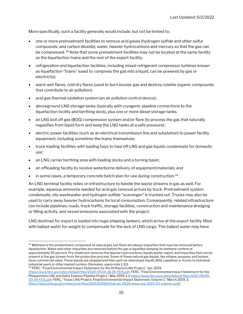More specifically, such a facility generally would include, but not be limited to:

- one or more pretreatment facilities to remove acid gases (hydrogen sulfide and other sulfur compounds, and carbon dioxide), water, heavier hydrocarbons and mercury so that the gas can be compressed.<sup>43</sup> Note that some preteatment facilities may not be located at the same facility as the liquefaction trains and the rest of the export facility;
- refrigeration and liquefaction facilities, including mixed refrigerant compressor turbines known as liquefaction "trains" (used to compress the gas into a liquid, can be powered by gas or electricity);
- warm wet flares, cold dry flares (used to burn excess gas and destroy volatile organic compounds that contribute to air pollution);
- acid gas thermal oxidation system (an air pollution control device);
- aboveground LNG storage tanks (typically with cryogenic pipeline connections to the liquefaction facility and berthing dock), plus one or more diesel storage tanks.
- an LNG boil off gas (BOG) compression system and/or flare (to process the gas that naturally regasifies from liquid form and keep the LNG tanks at a safe pressure);
- electric power facilities (such as an electrical transmission line and substation) to power facility equipment, including sometime the trains themselves;
- truck loading facilities with loading bays to haul off LNG and gas liquids condensate for domestic use;
- an LNG carrier berthing area with loading docks and a turning basin;
- an offloading facility to receive waterborne delivery of equipment/materials; and
- in some cases, a temporary concrete batch plan for use during construction.<sup>44</sup>

An LNG terminal facility relies on infrastructure to handle the waste streams in gas as well. For example, aqueous ammonia needed for acid gas removal arrives by truck. Pretreatment system condensate, oily wastewater and hydrogen sulfide "scavenger" is trucked out. Trucks may also be used to carry away heavier hydrocarbons for local consumption. Consequently, related infrastructure can include pipelines, roads, truck traffic, storage facilities, construction and maintenance dredging or filling activity, and vessel emissions associated with the project.

LNG destined for export is loaded into huge shipping tankers, which arrive at the export facility filled with ballast water for weight to compensate for the lack of LNG cargo. This ballast water may have

 $43$  Methane is the predominant component of natural gas, but there are always impurities that must be removed before liquefaction. Water and other impurities are removed before the gas is liquefied, keeping its methane content at approximately 95 percent. Pre-treatment removes the heavier hydrocarbons, liquids (water vapor), and impurities that can be present in the gas stream from the production process. Some of these natural gas liquids, like ethane, propane, and butane, have commercial value. These liquids are stripped and then sent via natural gas liquids (NGL) pipelines or trucks to individual industrial users or other market centers. Dismukes, supra note 1, 63.

<sup>44</sup> FERC, "Final Environmental Impact Statement for the Driftwood LNG Project," Jan. 2019, https://www.ferc.gov/sites/default/files/2020-05/01-18-19-FEIS.pdf; FERC, "Final Environmental Impact Statement for the Plaquemines LNG and Gator Express Pipeline Project," May 2019, 1-2 https://www.ferc.gov/sites/default/files/2020-05/05-03-19-FEIS.pdf; FERC, "Texas LNG Project, Final Environmental Impact Statement, Volume 1," March 2019, 2, https://www.energy.gov/sites/prod/files/2019/03/f60/final-eis-0520-texas-lng-2019-03-volume-1.pdf.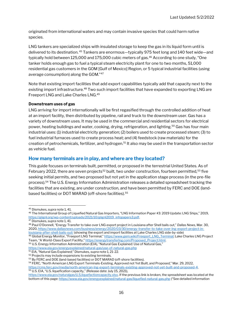originated from international waters and may contain invasive species that could harm native species.

LNG tankers are specialized ships with insulated storage to keep the gas in its liquid form until is delivered to its destination.<sup>45</sup> Tankers are enormous—typically 975 feet long and 140 feet wide—and typically hold between 125,000 and 175,000 cubic meters of gas.<sup>46</sup> According to one study, "One tanker holds enough gas to fuel a typical steam electricity plant for one to two months, 51,000 residential gas customers in the GOM [Gulf of Mexico] Region, or 5 typical industrial facilities (using average consumption) along the GOM."<sup>47</sup>

Note that existing import facilities that add export capabilities typically add that capacity next to the existing import infrastructure.<sup>48</sup> Two such import facilities that have expanded to exporting LNG are Freeport LNG and Lake Charles LNG.<sup>49</sup>

#### Downstream uses of gas

LNG arriving for import internationally will be first regasified through the controlled addition of heat at an import facility, then distributed by pipeline, rail and truck to the downstream user. Gas has a variety of downstream uses. It may be used in the commercial and residential sectors for electrical power, heating buildings and water, cooking, drying, refrigeration, and lighting.<sup>50</sup> Gas has four main industrial uses: (1) industrial electricity generation; (2) boilers used to create processed steam; (3) to fuel industrial furnaces used to create process heat; and (4) feedstock (raw materials) for the creation of petrochemicals, fertilizer, and hydrogen.<sup>51</sup> It also may be used in the transportation sector as vehicle fuel.

#### How many terminals are in play, and where are they located?

This guide focuses on terminals built, permitted, or proposed in the terrestrial United States. As of February 2022, there are seven projects<sup>52</sup> built, two under construction, fourteen permitted, <sup>53</sup> five seeking initial permits, and two proposed but not yet in the application stage process (in the pre-file process).<sup>54</sup> The U.S. Energy Information Administration releases a detailed spreadsheet tracking the facilities that are existing, are under construction, and have been permitted by FERC and DOE (landbased facilities) or DOT MARAD (off-shore facilities).<sup>55</sup>

<sup>54</sup> FERC, "North American LNG Export Terminals-Existing, Approved not Yet Built, and Proposed," Mar. 29, 2022,

https://cms.ferc.gov/media/north-american-lng-export-terminals-existing-approved-not-yet-built-and-proposed-4. <sup>55</sup> U.S. EIA, "U.S. liquefication capacity," (Release date: July 15, 2021),

<sup>45</sup> Dismukes, supra note 1, 41.

<sup>46</sup> The International Group of Liquefied Natural Gas Importers, "LNG Information Paper #3: 2019 Update: LNG Ships," 2019, https://giignl.org/wp-content/uploads/2021/10/giignl2019\_infopapers3.pdf.

<sup>47</sup> Dismukes, supra note 1, 41.

<sup>48</sup> Paul O'Donnell, "Energy Transfer to take over LNG export project in Louisiana after Shell bails out," Dallas News, Mar. 30, 2020, https://www.dallasnews.com/business/energy/2020/03/30/energy-transfer-to-take-over-lng-export-project-inlouisiana-after-shell-bails-out/ (showing the export and import facilities at Lake Charles LNG side-by-side)

<sup>&</sup>lt;sup>49</sup> Global Energy Monitor, "Freeport LNG Terminal," <u>https://www.gem.wiki/Freeport\_LNG\_Terminal</u>; Lake Charles LNG Project Team, "A World-Class Export Facility," https://energytransferlng.com/Proposed\_Project.html.

<sup>50</sup> U.S. Energy Information Administration (EIA), "Natural Gas Explained: Use of Natural Gas,"

https://www.eia.gov/energyexplained/natural-gas/use-of-natural-gas.php

<sup>51</sup> EIA, "Natural Gas Explained;" Dismukes, supra note 1, 21-22.

<sup>52</sup> Projects may include expansions to existing terminals.

<sup>53</sup> By FERC and DOE (land-based facilities) or DOT MARAD (off-shore facilities).

https://www.eia.gov/naturalgas/U.S.liquefactioncapacity.xlsx. If the previous link is broken, the spreadsheet was located at the bottom of this page: https://www.eia.gov/energyexplained/natural-gas/liquefied-natural-gas.php ("See detailed information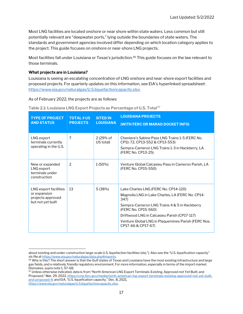Most LNG facilities are located onshore or near shore within state waters. Less common but still potentially relevant are "deepwater ports," lying outside the boundaries of state waters. The standards and government agencies involved differ depending on which location category applies to the project. This guide focuses on onshore or near-shore LNG projects.

Most facilities fall under Louisiana or Texas's jurisdiction.<sup>56</sup> This guide focuses on the law relevant to those terminals.

#### What projects are in Louisiana?

Louisiana is seeing an escalating concentration of LNG onshore and near-shore export facilities and proposed projects. For quarterly updates on this information, see EIA's hyperlinked spreadsheet: https://www.eia.gov/naturalgas/U.S.liquefactioncapacity.xlsx

As of February 2022, the projects are as follows:

| <b>TYPE OF PROJECT</b><br><b>AND STATUS</b>                                     | <b>TOTAL #US</b><br><b>PROJECTS</b> | <b>SITED IN</b><br><b>LOUISIANA</b> | <b>LOUISIANA PROJECTS</b><br>(WITH FERC OR MARAD DOCKET INFO)                                                                                                                                                                                                                                        |
|---------------------------------------------------------------------------------|-------------------------------------|-------------------------------------|------------------------------------------------------------------------------------------------------------------------------------------------------------------------------------------------------------------------------------------------------------------------------------------------------|
| LNG export<br>terminals currently<br>operating in the U.S.                      | $\overline{7}$                      | 2 (29% of<br>US total)              | Cheniere's Sabine Pass LNG Trains 1-5 (FERC No.<br>CP11-72, CP13-552 & CP13-553)<br>Sempra-Cameron LNG Trains 1-3 in Hackberry, LA<br>(FERC No. CP13-25)                                                                                                                                             |
| New or expanded<br>LNG export<br>terminals under<br>construction                | 2                                   | $1(50\%)$                           | Venture Global Calcasieu Pass in Cameron Parish, LA<br>(FERC No. CP15-550)                                                                                                                                                                                                                           |
| LNG export facilities<br>or expansion<br>projects approved<br>but not yet built | 13                                  | 5(38%)                              | Lake Charles LNG (FERC No. CP14-120)<br>Magnolia LNG in Lake Charles, LA (FERC No. CP14-<br>347)<br>Sempra-Cameron LNG Trains 4 & 5 in Hackberry<br>(FERC No. CP15-560)<br>Driftwood LNG in Calcasieu Parish (CP17-117)<br>Venture Global LNG in Plaquemines Parish (FERC Nos.<br>CP17-66 & CP17-67) |

Table 2.1: Louisiana LNG Export Projects as Percentage of U.S. Total $^{57}$ 

about existing and under-construction large-scale U.S. liquefaction facilities (xls)."). Also see the "U.S. liquefication capacity" xls file at https://www.eia.gov/naturalgas/data.php#imports.

<sup>&</sup>lt;sup>56</sup> Why is this? The short answer is that the Gulf states of Texas and Louisiana have the most existing infrastructure and large gas fields, and a relatively friendly regulatory environment. For more information, especially in terms of the import market. Dismukes, supra note 1, 57-68.

<sup>&</sup>lt;sup>57</sup> Unless otherwise indicated, data is from "North American LNG Export Terminals-Existing, Approved not Yet Built, and Proposed," Mar. 29, 2022, https://cms.ferc.gov/media/north-american-lng-export-terminals-existing-approved-not-yet-builtand-proposed-4; and EIA, "U.S. liquefication capacity," Dec. 8, 2021, https://www.eia.gov/naturalgas/U.S.liquefactioncapacity.xlsx.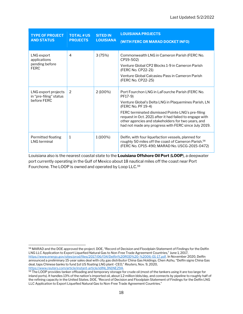| <b>TYPE OF PROJECT</b><br><b>AND STATUS</b>                  | <b>TOTAL #US</b><br><b>PROJECTS</b> | <b>SITED IN</b><br><b>LOUISIANA</b> | <b>LOUISIANA PROJECTS</b><br>(WITH FERC OR MARAD DOCKET INFO)                                                                                                                                                                                                                                                                                                          |
|--------------------------------------------------------------|-------------------------------------|-------------------------------------|------------------------------------------------------------------------------------------------------------------------------------------------------------------------------------------------------------------------------------------------------------------------------------------------------------------------------------------------------------------------|
| LNG export<br>applications<br>pending before<br><b>FERC</b>  | $\overline{4}$                      | 3(75%)                              | Commonwealth LNG in Cameron Parish (FERC No.<br>CP19-502)<br>Venture Global CP2 Blocks 1-9 in Cameron Parish<br>(FERC No. CP22-21)<br>Venture Global Calcasieu Pass in Cameron Parish<br>(FERC No. CP22-25)                                                                                                                                                            |
| LNG export projects<br>in "pre-filing" status<br>before FERC | $\mathcal{P}$                       | $2(100\%)$                          | Port Fourchon LNG in LaFourche Parish (FERC No.<br>PF17-9)<br>Venture Global's Delta LNG in Plaquemines Parish, LN<br>(FERC No. PF 19-4)<br>FERC terminated dismissed Pointe LNG's pre-filing<br>request in Oct. 2021 after it had failed to engage with<br>other agencies and stakeholders for two years, and<br>had not made any progress with FERC since July 2019. |
| Permitted floating<br><b>LNG</b> terminal                    | $\mathbf{1}$                        | 1 (100%)                            | Delfin, with four liquefaction vessels, planned for<br>roughly 50 miles off the coast of Cameron Parish. <sup>58</sup><br>(FERC No. CP15-490; MARAD No. USCG-2015-0472)                                                                                                                                                                                                |

Louisiana also is the nearest coastal state to the Louisiana Offshore Oil Port (LOOP), a deepwater port currently operating in the Gulf of Mexico about 18 nautical miles off the coast near Port Fourchone. The LOOP is owned and operated by Loop LLC.<sup>59</sup>

<sup>58</sup> MARAD and the DOE approved the project. DOE, "Record of Decision and Floodplain Statement of Findings for the Delfin LNG LLC Application to Export Liquefied Natural Gas to Non-Free Trade Agreement Countries," June 1, 2017, https://www.energy.gov/sites/prod/files/2017/06/f34/Delfin%20ROD%20-%2006-01-17.pdf. In November 2020, Delfin announced a preliminary 15-year sales deal with city gas distributor China Gas Holdings. Chen Aizhu, "Delfin signs China Gas deal, taps Chinese banks to fund 1st US floating LNG plant -CEO," Reuters, Nov. 9, 2020, https://www.reuters.com/article/instant-article/idINL3N1NE29A.

<sup>59</sup> The LOOP provides tanker offloading and temporary storage for crude oil (most of the tankers using it are too large for inland ports). It handles 13% of the nation's imported oil, about 1.2 million bbls/day, and connects by pipeline to roughly half of the refining capacity in the United States. DOE, "Record of Decision and Floodplain Statement of Findings for the Delfin LNG LLC Application to Export Liquefied Natural Gas to Non-Free Trade Agreement Countries."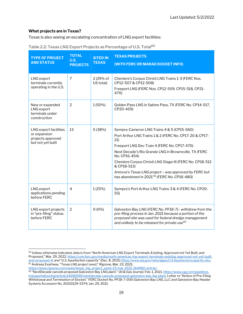#### What projects are in Texas?

Texas is also seeing an escalating concentration of LNG export facilities:

| <b>TYPE OF PROJECT</b><br><b>AND STATUS</b>                                     | <b>TOTAL</b><br><b>U.S.</b><br><b>PROJECTS</b> | <b>SITED IN</b><br><b>TEXAS</b> | <b>TEXAS PROJECTS</b><br>(WITH FERC OR MARAD DOCKET INFO)                                                                                                                                                                                                                                                                                                                                                                             |
|---------------------------------------------------------------------------------|------------------------------------------------|---------------------------------|---------------------------------------------------------------------------------------------------------------------------------------------------------------------------------------------------------------------------------------------------------------------------------------------------------------------------------------------------------------------------------------------------------------------------------------|
| LNG export<br>terminals currently<br>operating in the U.S.                      | 7                                              | 2 (29% of<br>US total)          | Cheniere's Corpus Christi LNG Trains 1-3 (FERC Nos.<br>CP12-507 & CP12-508)<br>Freeport LNG (FERC Nos. CP12-509, CP15-518, CP21-<br>470)                                                                                                                                                                                                                                                                                              |
| New or expanded<br>LNG export<br>terminals under<br>construction                | 2                                              | 1 (50%)                         | Golden Pass LNG in Sabine Pass, TX (FERC No. CP14-517,<br>CP20-459)                                                                                                                                                                                                                                                                                                                                                                   |
| LNG export facilities<br>or expansion<br>projects approved<br>but not yet built | 13                                             | 5(38%)                          | Sempra-Cameron LNG Trains 4 & 5 (CP15-560)<br>Port Arthur LNG Trains 1 & 2 (FERC No. CP17-20 & CP17-<br>21)<br>Freeport LNG Dev Train 4 (FERC No. CP17-470)<br>Next Decade's Rio Grande LNG in Brownsville, TX (FERC<br>No. CP16-454)<br>Cheniere Corpus Christi LNG Stage III (FERC No. CP18-512<br>& CP18-513)<br>Annova's Texas LNG project - was approved by FERC but<br>has abandoned in 2021. <sup>61</sup> (FERC No. CP16-480) |
| LNG export<br>applications pending<br>before FERC                               | $\overline{4}$                                 | 1 (25%)                         | Sempra's Port Arthur LNG Trains 3 & 4 (FERC No. CP20-<br>55)                                                                                                                                                                                                                                                                                                                                                                          |
| LNG export projects<br>in "pre-filing" status<br>before FERC                    | 2                                              | $0(0\%)$                        | Galveston Bay LNG (FERC No. PF18-7)- withdrew from the<br>pre-filing process in Jan. 2021 because a portion of the<br>proposed site was used for federal dredge management<br>and unlikely to be released for private use <sup>62</sup>                                                                                                                                                                                               |

<sup>60</sup> Unless otherwise indicated, data is from "North American LNG Export Terminals-Existing, Approved not Yet Built, and Proposed," Mar. 29, 2022, https://cms.ferc.gov/media/north-american-lng-export-terminals-existing-approved-not-yet-builtand-proposed-4; and "U.S. liquefaction capacity" (Dec. 8, 2021) https://www.eia.gov/naturalgas/U.S.liquefactioncapacity.xlsx. <sup>61</sup> Andreas Exarheas, "Texas LNG project axed," Rigzone, Mar. 23, 2021, https://www.rigzone.com/news/texan\_lng\_project\_axed-23-mar-2021-164960-article/.

<sup>62 &</sup>quot;NextDecade cancels proposed Galveston Bay LNG plant," Oil & Gas Journal, Feb. 1, 2021, https://www.ogj.com/pipelinestransportation/lng/article/14196590/nextdecade-cancels-proposed-galveston-bay-lng-plant; Letter re "Notice of Pre-Filing Withdrawal and Termination of Docket." FERC Docket No. PF18-7-000 (Galveston Bay LNG, LLC and Galveston Bay Header System) Accession No. 20210129-5374, Jan. 29, 2021.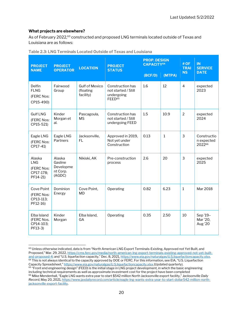#### What projects are elsewhere?

As of February 2022,<sup>63</sup> constructed and proposed LNG terminals located outside of Texas and Louisiana are as follows:

| <b>PROJECT</b>                                              | <b>PROJECT</b>                                       | <b>LOCATION</b>                                 | <b>PROJECT</b>                                                              | <b>PROP. DESIGN</b><br>CAPACITY <sup>64</sup> |              | # OF<br><b>TRAI</b> | <b>IN</b><br><b>SERVICE</b>            |
|-------------------------------------------------------------|------------------------------------------------------|-------------------------------------------------|-----------------------------------------------------------------------------|-----------------------------------------------|--------------|---------------------|----------------------------------------|
| <b>NAME</b>                                                 | <b>OPERATOR</b>                                      |                                                 | <b>STATUS</b>                                                               | (BCF/D)                                       | (MTPA)       | <b>NS</b>           | <b>DATE</b>                            |
| Delfin<br><b>FLNG</b><br>(FERC Nos:<br>CP15-490)            | Fairwood<br>Group                                    | <b>Gulf of Mexico</b><br>(floating<br>facility) | Construction has<br>not started / Still<br>undergoing<br>FEED <sup>65</sup> | 1.6                                           | 12           | $\overline{4}$      | expected<br>2023                       |
| <b>Gulf LNG</b><br>(FERC Nos:<br>CP15-521)                  | Kinder<br>Morgan et<br>al.                           | Pascagoula,<br><b>MS</b>                        | Construction has<br>not started / Still<br>undergoing FEED                  | 1.5                                           | 10.9         | $\overline{2}$      | expected<br>2024                       |
| Eagle LNG<br>(FERC Nos:<br>CP17-41)                         | Eagle LNG<br>Partners                                | Jacksonville,<br><b>FL</b>                      | Approved in 2019,<br>Not yet under<br>Construction                          | 0.13                                          | $\mathbf{1}$ | $\overline{3}$      | Constructio<br>n expected<br>202266    |
| Alaska<br><b>LNG</b><br>(FERC Nos:<br>CP17-178;<br>PF14-21) | Alaska<br>Gasline<br>Developme<br>nt Corp.<br>(AGDC) | Nikiski, AK                                     | Pre-construction<br>process                                                 | 2.6                                           | 20           | $\overline{3}$      | expected<br>2025                       |
| Cove Point<br>(FERC Nos:<br>CP13-113;<br>PF12-16)           | Dominion<br>Energy                                   | Cove Point,<br><b>MD</b>                        | Operating                                                                   | 0.82                                          | 6.23         | $\mathbf{1}$        | Mar 2018                               |
| Elba Island<br>(FERC Nos.<br>CP14-103;<br>PF13-3)           | Kinder<br>Morgan                                     | Elba Island,<br>GA                              | Operating                                                                   | 0.35                                          | 2.50         | 10                  | Sep '19-<br>Mar '20,<br><b>Aug '20</b> |

#### Table 2.3: LNG Terminals Located Outside of Texas and Louisiana

<sup>63</sup> Unless otherwise indicated, data is from "North American LNG Export Terminals-Existing, Approved not Yet Built, and Proposed," Mar. 29, 2022, https://cms.ferc.gov/media/north-american-lng-export-terminals-existing-approved-not-yet-builtand-proposed-4; and "U.S. liquefaction capacity," Dec. 8, 2021, https://www.eia.gov/naturalgas/U.S.liquefactioncapacity.xlsx. <sup>64</sup> This is not always identical to the capacity approved by DOE or FERC. For this information, see EIA, "U.S. Liquefaction Capacity Spreadsheet," https://www.eia.gov/naturalgas/U.S.liquefactioncapacity.xlsx (Updated quarterly).

<sup>&</sup>lt;sup>65</sup> "Front end engineering design" (FEED) is the initial stage in LNG project development, in which the basic engineering including technical requirements as well as approximate investment cost for the project have been completed 66 Mike Mendenhall, "Eagle LNG wants extra year to start \$542 million North Jacksonville export facility," Jacksonville Daily Record, May 20, 2021, https://www.jaxdailyrecord.com/article/eagle-lng-wants-extra-year-to-start-dollar542-million-northjacksonville-export-facility.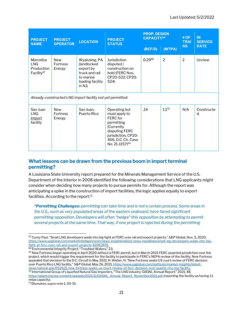| <b>PROJECT</b><br><b>NAME</b>                                          | <b>PROJECT</b><br><b>OPERATOR</b> | <b>LOCATION</b>                                                                                            | <b>PROJECT</b><br><b>STATUS</b>                                                                                                                                      | <b>PROP. DESIGN</b><br><b>CAPACITY64</b> |                | #OF<br><b>TRAI</b> | <b>IN</b><br><b>SERVICE</b> |  |  |
|------------------------------------------------------------------------|-----------------------------------|------------------------------------------------------------------------------------------------------------|----------------------------------------------------------------------------------------------------------------------------------------------------------------------|------------------------------------------|----------------|--------------------|-----------------------------|--|--|
|                                                                        |                                   |                                                                                                            |                                                                                                                                                                      | (BCF/D)                                  | (MTPA)         | <b>NS</b>          | <b>DATE</b>                 |  |  |
| <b>Marcellus</b><br><b>LNG</b><br>Production<br>Facility <sup>67</sup> | <b>New</b><br>Fortress<br>Energy  | Wyalusing, PA<br>(landlocked)<br>export by<br>truck and rail<br>to marine<br>loading facility<br>in $NJ$ ) | Jurisdiction<br>disputed /<br>construction on<br>hold (FERC Nos.<br>CP20-522; CP20-<br>524)                                                                          | 0.2968                                   | $\overline{2}$ | 2                  | Unclear                     |  |  |
| Already-constructed LNG import facility not yet permitted:             |                                   |                                                                                                            |                                                                                                                                                                      |                                          |                |                    |                             |  |  |
| San Juan<br><b>LNG</b><br>import<br>facility                           | <b>New</b><br>Fortress<br>Energy  | San Juan,<br>Puerto Rico                                                                                   | Operating but<br>must apply to<br>FERC for<br>permitting<br>(Currently<br>disputing FERC<br>jurisdiction, CP20-<br>466, D.C. Cir. Case<br>No. 21-1157) <sup>69</sup> | .14                                      | 1.170          | N/A                | Constructe<br>d.            |  |  |

#### What lessons can be drawn from the previous boom in import terminal permitting?

A Louisiana State University report prepared for the Minerals Management Service of the U.S. Department of the Interior in 2008 identified the following considerations that LNG applicants might consider when deciding how many projects to pursue permits for. Although the report was anticipating a spike in the construction of import facilities, the logic applies equally to export facilities. According to the report:<sup>71</sup>

"Permitting Challenges: permitting can take time and is not a certain process. Some areas in the U.S., such as very populated areas of the eastern seaboard, have faced significant permitting opposition. Developers will often "hedge" this opposition by attempting to permit several projects at the same time. That way, if one project is rejected during the permitting

<sup>67</sup> Corey Paul, "Small LNG developers wade into big fight at FERC over rail and export projects," S&P Global, Nov. 5, 2020, https://www.spglobal.com/marketintelligence/en/news-insights/latest-news-headlines/small-lng-developers-wade-into-bigfight-at-ferc-over-rail-and-export-projects-61062831.

<sup>68</sup> Environmental Integrity Project, "Troubled Waters," 23.

<sup>69</sup> New Fortress began operating in April 2020 without a FERC permit, but in March 2021 FERC asserted jurisdiction over the project, which would trigger the requirement for the facility to participate in FERC's NEPA review of the facility. New Fortress appealed that decision to the D.C. Circuit in May 2021. H. Weber, H. "New Fortress seeks US court review of FERC decision over Puerto Rico LNG facility," S&P Global, May 26, 2021, https://www.spglobal.com/platts/en/market-insights/latestnews/natural-gas/052621-new-fortress-seeks-us-court-review-of-ferc-decision-over-puerto-rico-lng-facility.

<sup>&</sup>lt;sup>70</sup> International Group of Liquefied Natural Gas Importers, "The LNG industry: GIIGNL Annual Report," 2021, 48, https://giignl.org/wp-content/uploads/2021/11/GIIGNL\_Annual\_Report\_November2021.pdf (reporting the facility as having 1.1 mtpa capacity).

<sup>&</sup>lt;sup>71</sup> Dismukes, supra note 1, 50-51.